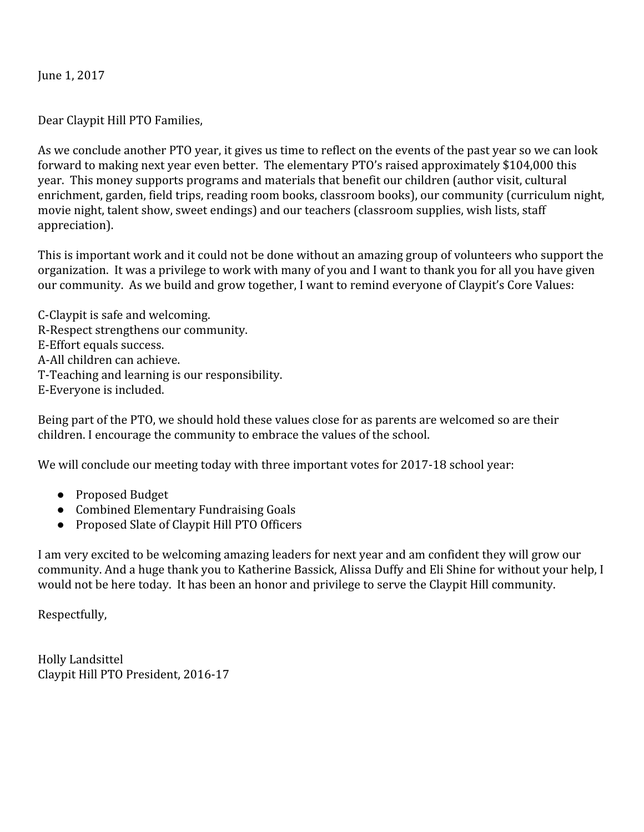June 1, 2017

Dear Claypit Hill PTO Families,

As we conclude another PTO year, it gives us time to reflect on the events of the past year so we can look forward to making next year even better. The elementary PTO's raised approximately \$104,000 this year. This money supports programs and materials that benefit our children (author visit, cultural enrichment, garden, field trips, reading room books, classroom books), our community (curriculum night, movie night, talent show, sweet endings) and our teachers (classroom supplies, wish lists, staff appreciation).

This is important work and it could not be done without an amazing group of volunteers who support the organization. It was a privilege to work with many of you and I want to thank you for all you have given our community. As we build and grow together, I want to remind everyone of Claypit's Core Values:

C-Claypit is safe and welcoming. R-Respect strengthens our community. E-Effort equals success. A-All children can achieve. T-Teaching and learning is our responsibility. E-Everyone is included.

Being part of the PTO, we should hold these values close for as parents are welcomed so are their children. I encourage the community to embrace the values of the school.

We will conclude our meeting today with three important votes for 2017-18 school year:

- Proposed Budget
- Combined Elementary Fundraising Goals
- Proposed Slate of Claypit Hill PTO Officers

I am very excited to be welcoming amazing leaders for next year and am confident they will grow our community. And a huge thank you to Katherine Bassick, Alissa Duffy and Eli Shine for without your help, I would not be here today. It has been an honor and privilege to serve the Claypit Hill community.

Respectfully,

Holly Landsittel Claypit Hill PTO President, 2016-17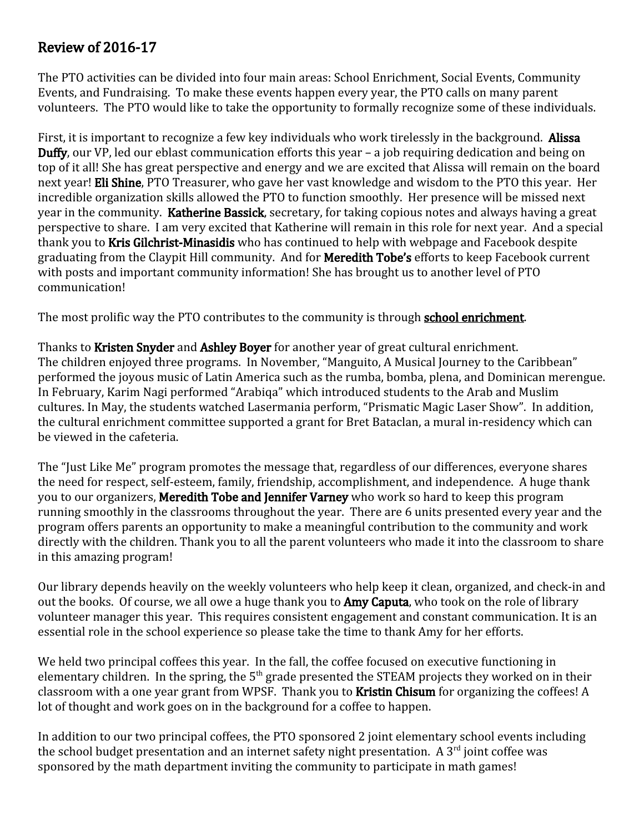### Review of 2016-17

The PTO activities can be divided into four main areas: School Enrichment, Social Events, Community Events, and Fundraising. To make these events happen every year, the PTO calls on many parent volunteers. The PTO would like to take the opportunity to formally recognize some of these individuals.

First, it is important to recognize a few key individuals who work tirelessly in the background. **Alissa** Duffy, our VP, led our eblast communication efforts this year – a job requiring dedication and being on top of it all! She has great perspective and energy and we are excited that Alissa will remain on the board next year! Eli Shine, PTO Treasurer, who gave her vast knowledge and wisdom to the PTO this year. Her incredible organization skills allowed the PTO to function smoothly. Her presence will be missed next year in the community. Katherine Bassick, secretary, for taking copious notes and always having a great perspective to share. I am very excited that Katherine will remain in this role for next year. And a special thank you to Kris Gilchrist-Minasidis who has continued to help with webpage and Facebook despite graduating from the Claypit Hill community. And for **Meredith Tobe's** efforts to keep Facebook current with posts and important community information! She has brought us to another level of PTO communication!

The most prolific way the PTO contributes to the community is through **school enrichment**.

Thanks to Kristen Snyder and Ashley Boyer for another year of great cultural enrichment. The children enjoyed three programs. In November, "Manguito, A Musical Journey to the Caribbean" performed the joyous music of Latin America such as the rumba, bomba, plena, and Dominican merengue. In February, Karim Nagi performed "Arabiqa" which introduced students to the Arab and Muslim cultures. In May, the students watched Lasermania perform, "Prismatic Magic Laser Show". In addition, the cultural enrichment committee supported a grant for Bret Bataclan, a mural in-residency which can be viewed in the cafeteria.

The "Just Like Me" program promotes the message that, regardless of our differences, everyone shares the need for respect, self-esteem, family, friendship, accomplishment, and independence. A huge thank you to our organizers, Meredith Tobe and Jennifer Varney who work so hard to keep this program running smoothly in the classrooms throughout the year. There are 6 units presented every year and the program offers parents an opportunity to make a meaningful contribution to the community and work directly with the children. Thank you to all the parent volunteers who made it into the classroom to share in this amazing program!

Our library depends heavily on the weekly volunteers who help keep it clean, organized, and check-in and out the books. Of course, we all owe a huge thank you to **Amy Caputa**, who took on the role of library volunteer manager this year. This requires consistent engagement and constant communication. It is an essential role in the school experience so please take the time to thank Amy for her efforts.

We held two principal coffees this year. In the fall, the coffee focused on executive functioning in elementary children. In the spring, the 5<sup>th</sup> grade presented the STEAM projects they worked on in their classroom with a one year grant from WPSF. Thank you to **Kristin Chisum** for organizing the coffees! A lot of thought and work goes on in the background for a coffee to happen.

In addition to our two principal coffees, the PTO sponsored 2 joint elementary school events including the school budget presentation and an internet safety night presentation. A 3<sup>rd</sup> joint coffee was sponsored by the math department inviting the community to participate in math games!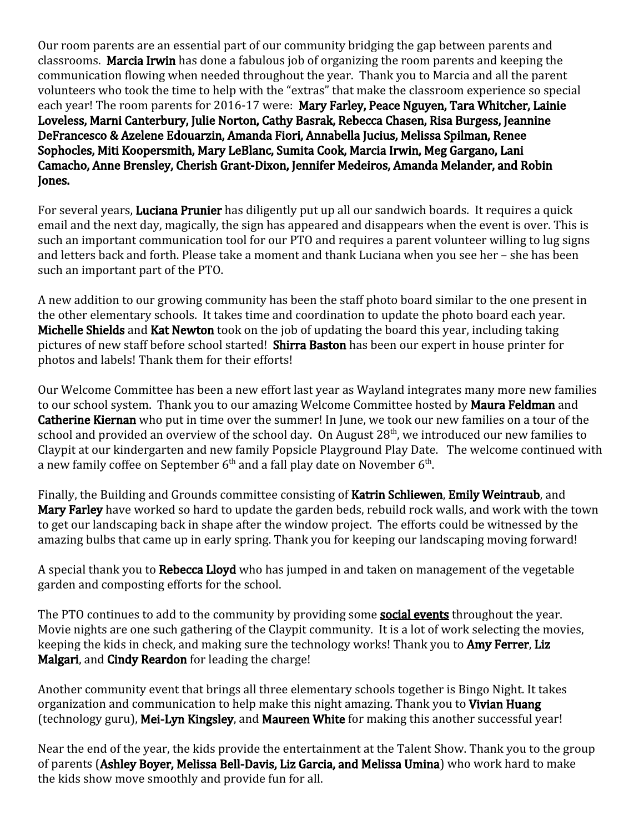Our room parents are an essential part of our community bridging the gap between parents and classrooms. Marcia Irwin has done a fabulous job of organizing the room parents and keeping the communication flowing when needed throughout the year. Thank you to Marcia and all the parent volunteers who took the time to help with the "extras" that make the classroom experience so special each year! The room parents for 2016-17 were: Mary Farley, Peace Nguyen, Tara Whitcher, Lainie Loveless, Marni Canterbury, Julie Norton, Cathy Basrak, Rebecca Chasen, Risa Burgess, Jeannine DeFrancesco & Azelene Edouarzin, Amanda Fiori, Annabella Jucius, Melissa Spilman, Renee Sophocles, Miti Koopersmith, Mary LeBlanc, Sumita Cook, Marcia Irwin, Meg Gargano, Lani Camacho, Anne Brensley, Cherish Grant-Dixon, Jennifer Medeiros, Amanda Melander, and Robin Jones.

For several years, **Luciana Prunier** has diligently put up all our sandwich boards. It requires a quick email and the next day, magically, the sign has appeared and disappears when the event is over. This is such an important communication tool for our PTO and requires a parent volunteer willing to lug signs and letters back and forth. Please take a moment and thank Luciana when you see her – she has been such an important part of the PTO.

A new addition to our growing community has been the staff photo board similar to the one present in the other elementary schools. It takes time and coordination to update the photo board each year. Michelle Shields and Kat Newton took on the job of updating the board this year, including taking pictures of new staff before school started! Shirra Baston has been our expert in house printer for photos and labels! Thank them for their efforts!

Our Welcome Committee has been a new effort last year as Wayland integrates many more new families to our school system. Thank you to our amazing Welcome Committee hosted by **Maura Feldman** and Catherine Kiernan who put in time over the summer! In June, we took our new families on a tour of the school and provided an overview of the school day. On August 28<sup>th</sup>, we introduced our new families to Claypit at our kindergarten and new family Popsicle Playground Play Date. The welcome continued with a new family coffee on September  $6^{\rm th}$  and a fall play date on November  $6^{\rm th}$ .

Finally, the Building and Grounds committee consisting of **Katrin Schliewen, Emily Weintraub**, and Mary Farley have worked so hard to update the garden beds, rebuild rock walls, and work with the town to get our landscaping back in shape after the window project. The efforts could be witnessed by the amazing bulbs that came up in early spring. Thank you for keeping our landscaping moving forward!

A special thank you to **Rebecca Lloyd** who has jumped in and taken on management of the vegetable garden and composting efforts for the school.

The PTO continues to add to the community by providing some **social events** throughout the year. Movie nights are one such gathering of the Claypit community. It is a lot of work selecting the movies, keeping the kids in check, and making sure the technology works! Thank you to **Amy Ferrer, Liz** Malgari, and Cindy Reardon for leading the charge!

Another community event that brings all three elementary schools together is Bingo Night. It takes organization and communication to help make this night amazing. Thank you to Vivian Huang (technology guru), Mei-Lyn Kingsley, and Maureen White for making this another successful year!

Near the end of the year, the kids provide the entertainment at the Talent Show. Thank you to the group of parents (Ashley Boyer, Melissa Bell-Davis, Liz Garcia, and Melissa Umina) who work hard to make the kids show move smoothly and provide fun for all.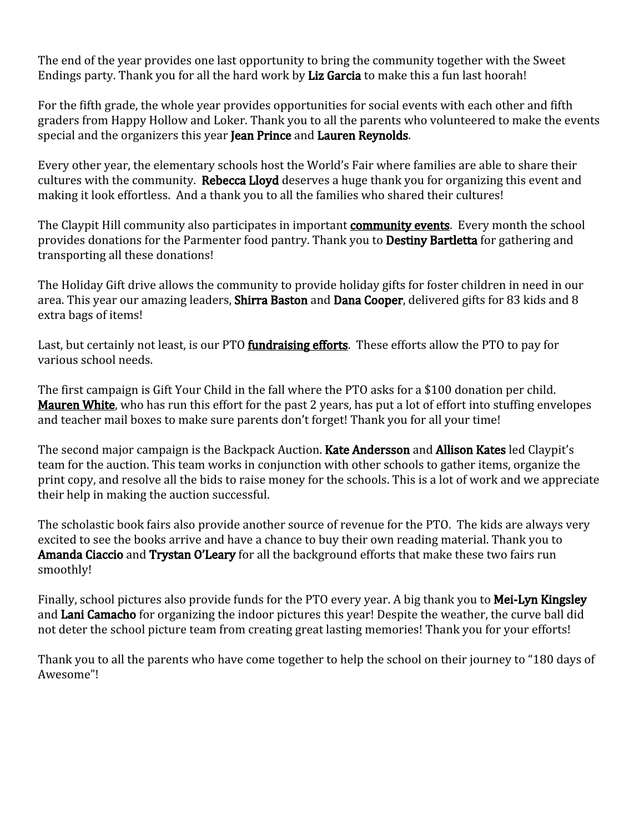The end of the year provides one last opportunity to bring the community together with the Sweet Endings party. Thank you for all the hard work by Liz Garcia to make this a fun last hoorah!

For the fifth grade, the whole year provides opportunities for social events with each other and fifth graders from Happy Hollow and Loker. Thank you to all the parents who volunteered to make the events special and the organizers this year Jean Prince and Lauren Reynolds.

Every other year, the elementary schools host the World's Fair where families are able to share their cultures with the community. Rebecca Lloyd deserves a huge thank you for organizing this event and making it look effortless. And a thank you to all the families who shared their cultures!

The Claypit Hill community also participates in important **community events**. Every month the school provides donations for the Parmenter food pantry. Thank you to **Destiny Bartletta** for gathering and transporting all these donations!

The Holiday Gift drive allows the community to provide holiday gifts for foster children in need in our area. This year our amazing leaders, Shirra Baston and Dana Cooper, delivered gifts for 83 kids and 8 extra bags of items!

Last, but certainly not least, is our PTO **fundraising efforts**. These efforts allow the PTO to pay for various school needs.

The first campaign is Gift Your Child in the fall where the PTO asks for a \$100 donation per child. Mauren White, who has run this effort for the past 2 years, has put a lot of effort into stuffing envelopes and teacher mail boxes to make sure parents don't forget! Thank you for all your time!

The second major campaign is the Backpack Auction. Kate Andersson and Allison Kates led Claypit's team for the auction. This team works in conjunction with other schools to gather items, organize the print copy, and resolve all the bids to raise money for the schools. This is a lot of work and we appreciate their help in making the auction successful.

The scholastic book fairs also provide another source of revenue for the PTO. The kids are always very excited to see the books arrive and have a chance to buy their own reading material. Thank you to Amanda Ciaccio and Trystan O'Leary for all the background efforts that make these two fairs run smoothly!

Finally, school pictures also provide funds for the PTO every year. A big thank you to **Mei-Lyn Kingsley** and Lani Camacho for organizing the indoor pictures this year! Despite the weather, the curve ball did not deter the school picture team from creating great lasting memories! Thank you for your efforts!

Thank you to all the parents who have come together to help the school on their journey to "180 days of Awesome"!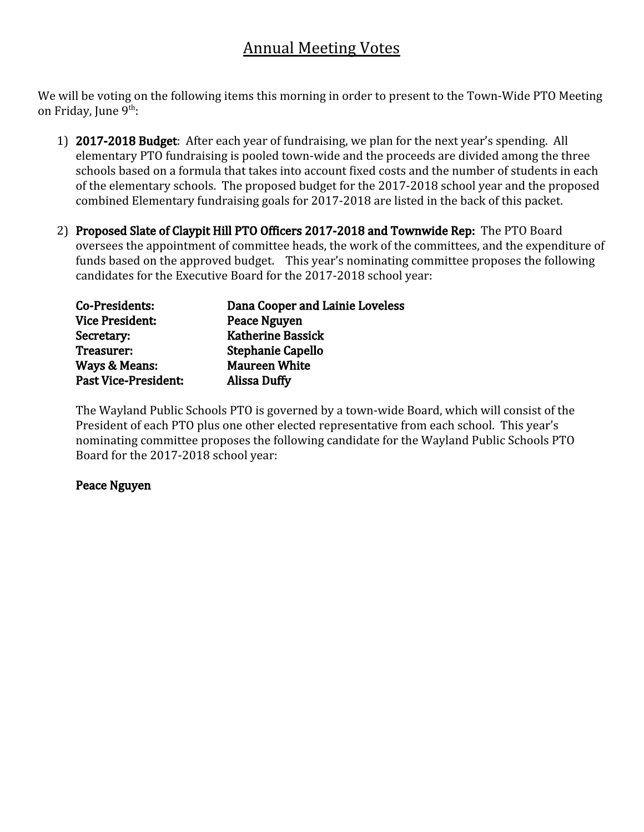# Annual Meeting Votes

We will be voting on the following items this morning in order to present to the Town-Wide PTO Meeting on Friday, June 9<sup>th</sup>:

- 1) 2017-2018 Budget: After each year of fundraising, we plan for the next year's spending. All elementary PTO fundraising is pooled town-wide and the proceeds are divided among the three schools based on a formula that takes into account fixed costs and the number of students in each of the elementary schools. The proposed budget for the 2017-2018 school year and the proposed combined Elementary fundraising goals for 2017-2018 are listed in the back of this packet.
- 2) Proposed Slate of Claypit Hill PTO Officers 2017-2018 and Townwide Rep: The PTO Board oversees the appointment of committee heads, the work of the committees, and the expenditure of funds based on the approved budget. This year's nominating committee proposes the following candidates for the Executive Board for the 2017-2018 school year:

| Co-Presidents:              | Dana Cooper and Lainie Loveless |
|-----------------------------|---------------------------------|
| <b>Vice President:</b>      | <b>Peace Nguyen</b>             |
| Secretary:                  | <b>Katherine Bassick</b>        |
| Treasurer:                  | <b>Stephanie Capello</b>        |
| Ways & Means:               | <b>Maureen White</b>            |
| <b>Past Vice-President:</b> | <b>Alissa Duffy</b>             |

The Wayland Public Schools PTO is governed by a town-wide Board, which will consist of the President of each PTO plus one other elected representative from each school. This year's nominating committee proposes the following candidate for the Wayland Public Schools PTO Board for the 2017-2018 school year:

#### Peace Nguyen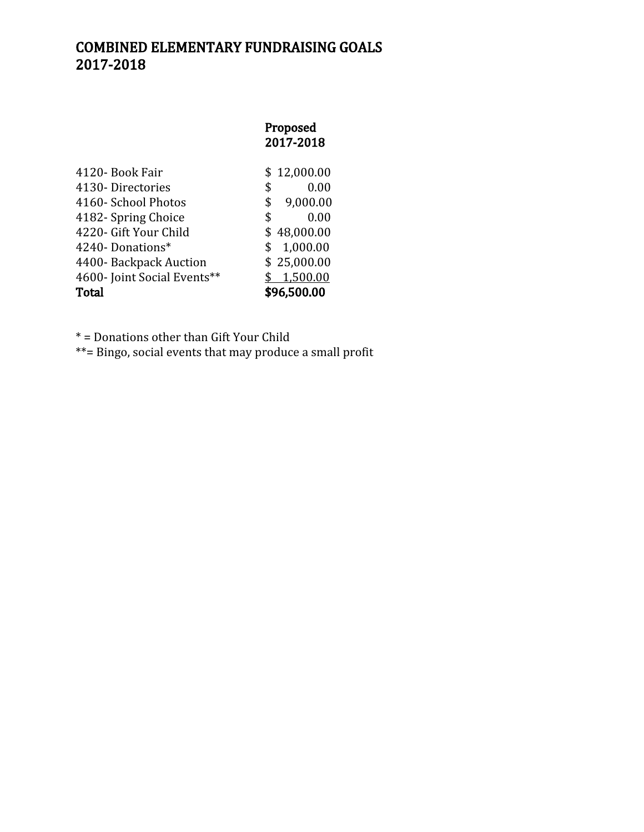#### COMBINED ELEMENTARY FUNDRAISING GOALS 2017-2018

## Proposed 2017-2018 4120- Book Fair \$ 12,000.00 4130- Directories \$ 0.00<br>4160- School Photos \$ 9,000.00 4160- School Photos 4182- Spring Choice \$ 0.00 4220- Gift Your Child \$48,000.00 4240- Donations\* \$ 1,000.00<br>4400- Backpack Auction \$ 25,000.00

4400- Backpack Auction \$ 25,000.00<br>4600- Joint Social Events\*\* \$ 1,500.00 4600- Joint Social Events\*\* Total \$96,500.00

\* = Donations other than Gift Your Child

\*\*= Bingo, social events that may produce a small profit